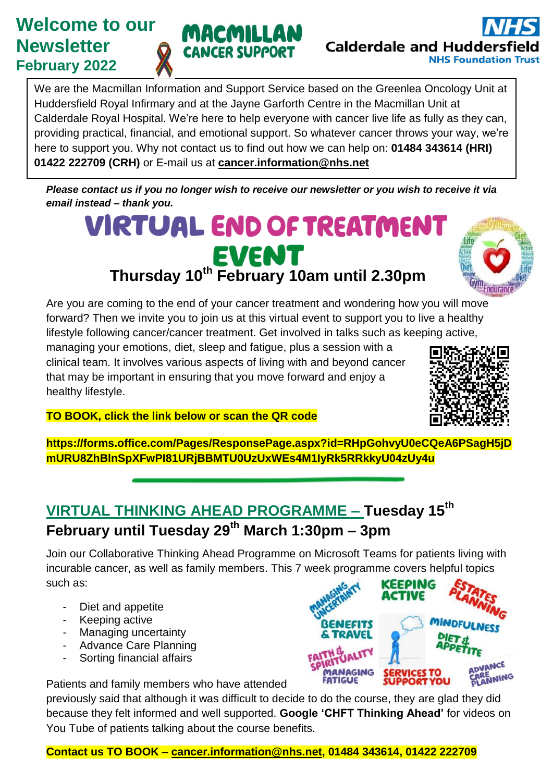# **Welcome to our Newsletter February 2022**



We are the Macmillan Information and Support Service based on the Greenlea Oncology Unit at Huddersfield Royal Infirmary and at the Jayne Garforth Centre in the Macmillan Unit at Calderdale Royal Hospital. We're here to help everyone with cancer live life as fully as they can, providing practical, financial, and emotional support. So whatever cancer throws your way, we're here to support you. Why not contact us to find out how we can help on: **01484 343614 (HRI) 01422 222709 (CRH)** or E-mail us at **[cancer.information@nhs.net](mailto:cancer.information@nhs.net)**

*Please contact us if you no longer wish to receive our newsletter or you wish to receive it via email instead – thank you.* 

# **VIRTUAL END OF TREATMENT Thursday 10th February 10am until 2.30pm**



Are you are coming to the end of your cancer treatment and wondering how you will move forward? Then we invite you to join us at this virtual event to support you to live a healthy lifestyle following cancer/cancer treatment. Get involved in talks such as keeping active,

managing your emotions, diet, sleep and fatigue, plus a session with a clinical team. It involves various aspects of living with and beyond cancer that may be important in ensuring that you move forward and enjoy a healthy lifestyle.



**TO BOOK, click the link below or scan the QR code**

**https://forms.office.com/Pages/ResponsePage.aspx?id=RHpGohvyU0eCQeA6PSagH5jD mURU8ZhBlnSpXFwPI81URjBBMTU0UzUxWEs4M1IyRk5RRkkyU04zUy4u**

## **VIRTUAL THINKING AHEAD PROGRAMME – Tuesday 15th February until Tuesday 29th March 1:30pm – 3pm**

Join our Collaborative Thinking Ahead Programme on Microsoft Teams for patients living with incurable cancer, as well as family members. This 7 week programme covers helpful topics such as: NG

- Diet and appetite
- Keeping active
- Managing uncertainty
- Advance Care Planning
- Sorting financial affairs

**NEFITS** VANCE RENNING

Patients and family members who have attended

previously said that although it was difficult to decide to do the course, they are glad they did because they felt informed and well supported. **Google 'CHFT Thinking Ahead'** for videos on You Tube of patients talking about the course benefits.

#### **Contact us TO BOOK – [cancer.information@nhs.net,](mailto:cancer.information@nhs.net) 01484 343614, 01422 222709**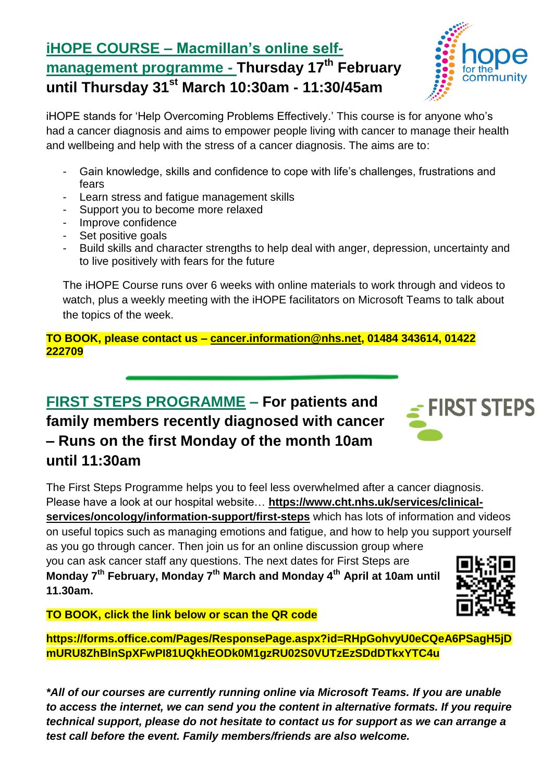## **iHOPE COURSE – Macmillan's online selfmanagement programme - Thursday 17th February until Thursday 31st March 10:30am - 11:30/45am**



iHOPE stands for 'Help Overcoming Problems Effectively.' This course is for anyone who's had a cancer diagnosis and aims to empower people living with cancer to manage their health and wellbeing and help with the stress of a cancer diagnosis. The aims are to:

- Gain knowledge, skills and confidence to cope with life's challenges, frustrations and fears
- Learn stress and fatigue management skills
- Support you to become more relaxed
- Improve confidence
- Set positive goals
- Build skills and character strengths to help deal with anger, depression, uncertainty and to live positively with fears for the future

The iHOPE Course runs over 6 weeks with online materials to work through and videos to watch, plus a weekly meeting with the iHOPE facilitators on Microsoft Teams to talk about the topics of the week.

**TO BOOK, please contact us – [cancer.information@nhs.net,](mailto:cancer.information@nhs.net) 01484 343614, 01422 222709**

# **FIRST STEPS PROGRAMME – For patients and family members recently diagnosed with cancer – Runs on the first Monday of the month 10am until 11:30am**

The First Steps Programme helps you to feel less overwhelmed after a cancer diagnosis. Please have a look at our hospital website… **[https://www.cht.nhs.uk/services/clinical-](https://www.cht.nhs.uk/services/clinical-services/oncology/information-support/first-steps)**

**[services/oncology/information-support/first-steps](https://www.cht.nhs.uk/services/clinical-services/oncology/information-support/first-steps)** which has lots of information and videos on useful topics such as managing emotions and fatigue, and how to help you support yourself as you go through cancer. Then join us for an online discussion group where

you can ask cancer staff any questions. The next dates for First Steps are **Monday 7th February, Monday 7th March and Monday 4th April at 10am until 11.30am.**

**TO BOOK, click the link below or scan the QR code**

**https://forms.office.com/Pages/ResponsePage.aspx?id=RHpGohvyU0eCQeA6PSagH5jD mURU8ZhBlnSpXFwPI81UQkhEODk0M1gzRU02S0VUTzEzSDdDTkxYTC4u**

*\*All of our courses are currently running online via Microsoft Teams. If you are unable to access the internet, we can send you the content in alternative formats. If you require technical support, please do not hesitate to contact us for support as we can arrange a test call before the event. Family members/friends are also welcome.*



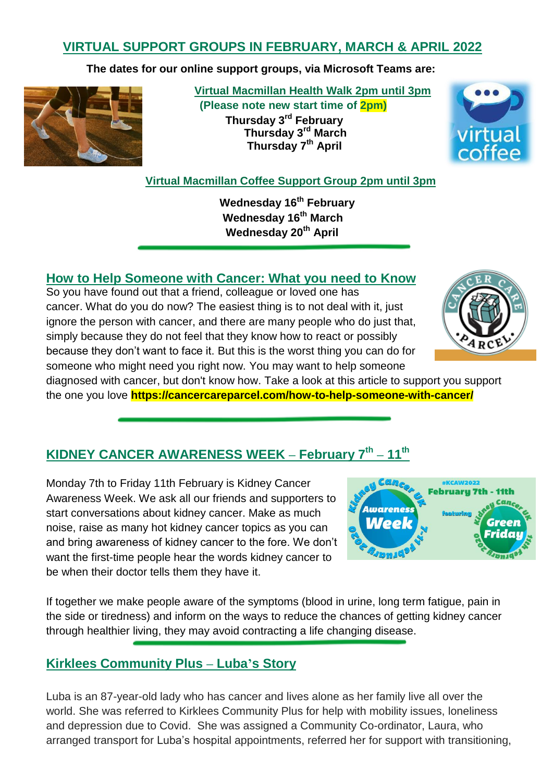## **VIRTUAL SUPPORT GROUPS IN FEBRUARY, MARCH & APRIL 2022**

**The dates for our online support groups, via Microsoft Teams are:**



 **Virtual Macmillan Health Walk 2pm until 3pm (Please note new start time of 2pm) Thursday 3 rd February Thursday 3rd March Thursday 7 th April**



 **Virtual Macmillan Coffee Support Group 2pm until 3pm**

 **Wednesday 16th February Wednesday 16th March Wednesday 20th April** 

#### **How to Help Someone with Cancer: What you need to Know**

So you have found out that a friend, colleague or [loved one](https://cancercareparcel.com/loved-ones/) has cancer. What do you do now? The easiest thing is to not deal with it, just ignore the person with cancer, and there are many people who do just that, simply because they do not feel that they know how to react or possibly because they don't want to face it. But this is the worst thing you can do for someone who might need you right now. You may want to help someone

diagnosed with cancer, but don't know how. Take a look at this article to support you support the one you love **https://cancercareparcel.com/how-to-help-someone-with-cancer/**

## **KIDNEY CANCER AWARENESS WEEK – February 7th – 11th**

Monday 7th to Friday 11th February is Kidney Cancer Awareness Week. We ask all our friends and supporters to start conversations about kidney cancer. Make as much noise, raise as many hot kidney cancer topics as you can and bring awareness of kidney cancer to the fore. We don't want the first-time people hear the words kidney cancer to be when their doctor tells them they have it.



If together we make people aware of the symptoms (blood in urine, long term fatigue, pain in the side or tiredness) and inform on the ways to reduce the chances of getting kidney cancer through healthier living, they may avoid contracting a life changing disease.

#### **Kirklees Community Plus – Luba's Story**

Luba is an 87-year-old lady who has cancer and lives alone as her family live all over the world. She was referred to Kirklees Community Plus for help with mobility issues, loneliness and depression due to Covid. She was assigned a Community Co-ordinator, Laura, who arranged transport for Luba's hospital appointments, referred her for support with transitioning,